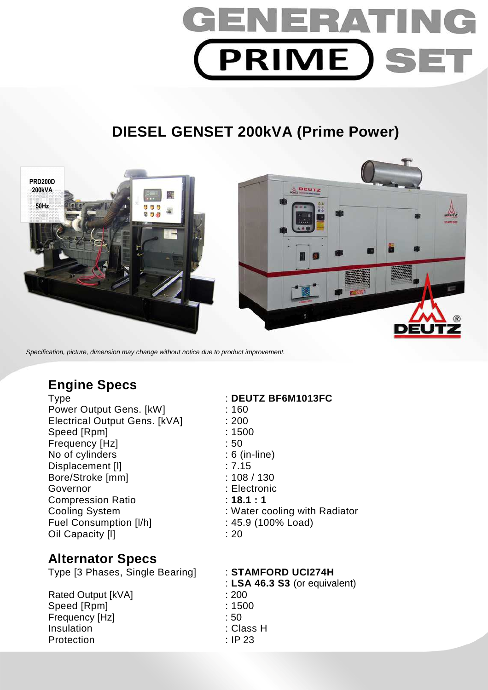# GENERATI **PRIME SET**

# **DIESEL GENSET 200kVA (Prime Power)**



Specification, picture, dimension may change without notice due to product improvement.

# **Engine Specs**

Power Output Gens. [kW] : 160 Electrical Output Gens. [kVA] : 200 Speed [Rpm] : 1500 Frequency [Hz]  $\qquad \qquad$  : 50 No of cylinders : 6 (in-line) Displacement [I] 27.15 Bore/Stroke [mm] : 108 / 130 Governor : Electronic Compression Ratio **18.1 : 1** Cooling System : Water cooling with Radiator Fuel Consumption [I/h] : 45.9 (100% Load) Oil Capacity [I] 20

### **Alternator Specs**

Type [3 Phases, Single Bearing] : **STAMFORD UCI274H** 

Rated Output [kVA] : 200 Speed [Rpm] : 1500 Frequency [Hz] : 50 Insulation : Class H Protection : IP 23

### Type : **DEUTZ BF6M1013FC**

: **LSA 46.3 S3** (or equivalent)